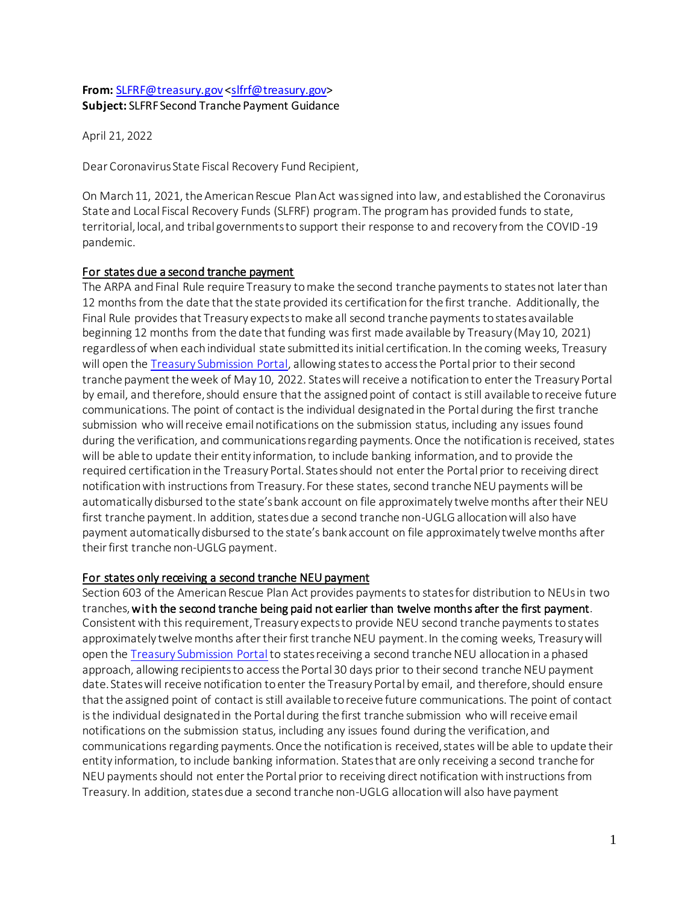### **From:** [SLFRF@treasury.gov](mailto:SLFRF@treasury.gov) [<slfrf@treasury.gov>](mailto:slfrf@treasury.gov) **Subject:** SLFRF Second Tranche Payment Guidance

April 21, 2022

Dear Coronavirus State Fiscal Recovery Fund Recipient,

On March 11, 2021, the American Rescue Plan Act was signed into law, and established the Coronavirus State and Local Fiscal Recovery Funds (SLFRF) program. The program has provided funds to state, territorial, local, and tribal governments to support their response to and recovery from the COVID-19 pandemic.

# For states due a second tranche payment

The ARPA and Final Rule require Treasury to make the second tranche payments to states not later than 12 months from the date that the state provided its certification for the first tranche. Additionally, the Final Rule provides that Treasury expects to make all second tranche payments to states available beginning 12 months from the date that funding was first made available by Treasury (May 10, 2021) regardless of when each individual state submitted its initial certification. In the coming weeks, Treasury will open the [Treasury Submission Portal,](https://treasury.gov/SLFRPPortal) allowing states to access the Portal prior to their second tranche payment the week of May 10, 2022. States will receive a notification to enter the Treasury Portal by email, and therefore, should ensure that the assigned point of contact is still available to receive future communications. The point of contact is the individual designated in the Portal during the first tranche submission who will receive email notifications on the submission status, including any issues found during the verification, and communications regarding payments. Once the notification is received, states will be able to update their entity information, to include banking information, and to provide the required certification in the Treasury Portal. States should not enter the Portal prior to receiving direct notification with instructions from Treasury. For these states, second tranche NEU payments will be automatically disbursed to the state's bank account on file approximately twelve months after their NEU first tranche payment. In addition, states due a second tranche non-UGLG allocation will also have payment automatically disbursed to the state's bank account on file approximately twelve months after their first tranche non-UGLG payment.

# For states only receiving a second tranche NEU payment

Section 603 of the American Rescue Plan Act provides payments to states for distribution to NEUs in two tranches, with the second tranche being paid not earlier than twelve months after the first payment. Consistent with this requirement, Treasury expects to provide NEU second tranche payments to states approximately twelve months after their first tranche NEU payment. In the coming weeks, Treasury will open th[e Treasury Submission Portal](https://treasury.gov/SLFRPPortal)to states receiving a second tranche NEU allocation in a phased approach, allowing recipients to access the Portal 30 days prior to their second tranche NEU payment date. States will receive notification to enter the Treasury Portal by email, and therefore, should ensure that the assigned point of contact is still available to receive future communications. The point of contact is the individual designated in the Portal during the first tranche submission who will receive email notifications on the submission status, including any issues found during the verification, and communications regarding payments. Once the notification is received, states will be able to update their entity information, to include banking information. States that are only receiving a second tranche for NEU payments should not enter the Portal prior to receiving direct notification with instructions from Treasury. In addition, states due a second tranche non-UGLG allocation will also have payment